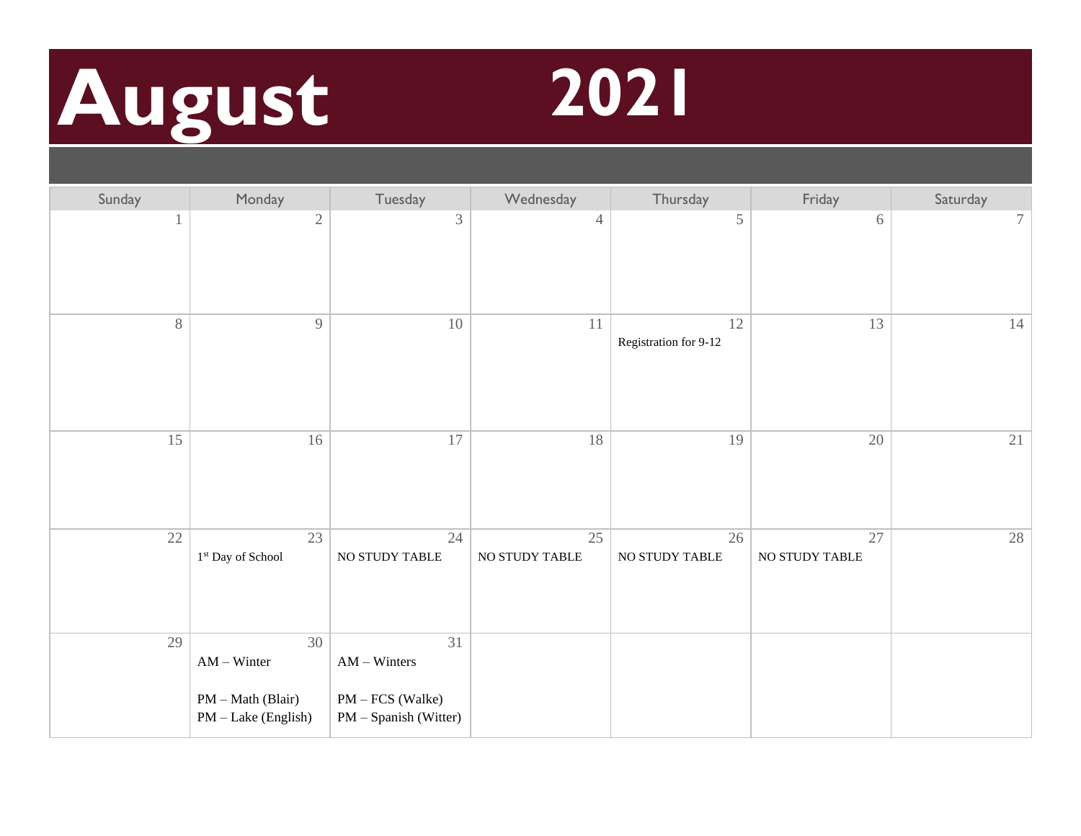# **August 2021**



| Sunday | Monday                                                          | Tuesday                                                           | Wednesday            | Thursday                    | Friday               | Saturday |
|--------|-----------------------------------------------------------------|-------------------------------------------------------------------|----------------------|-----------------------------|----------------------|----------|
|        | $\sqrt{2}$                                                      | 3                                                                 | $\overline{4}$       | $\mathfrak s$               | 6                    | $\tau$   |
| 8      | $\overline{9}$                                                  | 10                                                                | $11\,$               | 12<br>Registration for 9-12 | 13                   | $14\,$   |
| 15     | 16                                                              | 17                                                                | 18                   | 19                          | 20                   | 21       |
| 22     | 23<br>$1^{\rm st}$ Day of School                                | 24<br>NO STUDY TABLE                                              | 25<br>NO STUDY TABLE | 26<br>NO STUDY TABLE        | 27<br>NO STUDY TABLE | 28       |
| 29     | 30<br>$AM - Winter$<br>PM - Math (Blair)<br>PM - Lake (English) | 31<br>$AM - Winters$<br>PM - FCS (Walke)<br>PM - Spanish (Witter) |                      |                             |                      |          |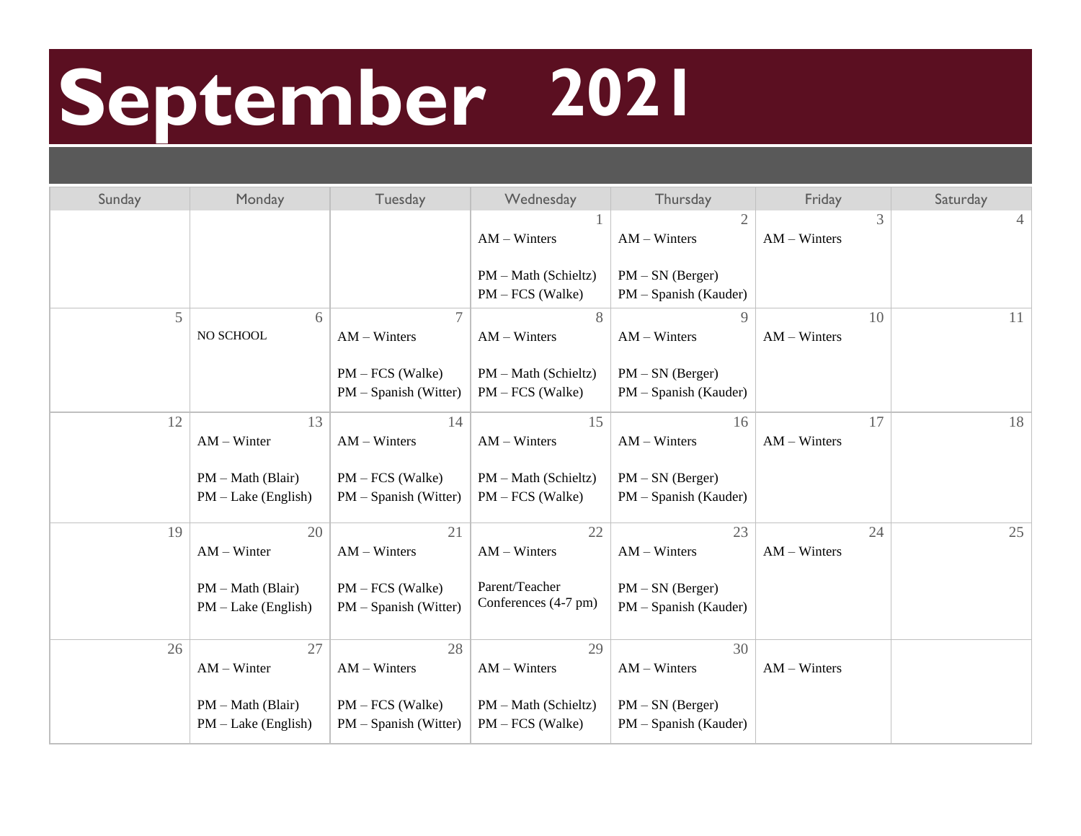## **September 2021**

| Sunday | Monday                                     | Tuesday                                       | Wednesday                                  | Thursday                                    | Friday               | Saturday |
|--------|--------------------------------------------|-----------------------------------------------|--------------------------------------------|---------------------------------------------|----------------------|----------|
|        |                                            |                                               | $AM - Winters$                             | 2<br>$AM - Winters$                         | 3<br>$AM - Winters$  | 4        |
|        |                                            |                                               | PM - Math (Schieltz)<br>$PM - FCS$ (Walke) | $PM - SN$ (Berger)<br>PM - Spanish (Kauder) |                      |          |
| 5      | 6<br>NO SCHOOL                             | $AM - Winters$                                | 8<br>$AM - Winters$                        | 9<br>$AM - Winters$                         | 10<br>$AM - Winters$ | 11       |
|        |                                            | $PM - FCS$ (Walke)<br>$PM - Spanish (Witter)$ | PM - Math (Schieltz)<br>$PM - FCS$ (Walke) | $PM - SN$ (Berger)<br>PM - Spanish (Kauder) |                      |          |
| 12     | 13<br>$AM - Winter$                        | 14<br>$AM - Winters$                          | 15<br>$AM - Winters$                       | 16<br>$AM - Winters$                        | 17<br>$AM - Winters$ | 18       |
|        | PM - Math (Blair)<br>$PM$ – Lake (English) | PM – FCS (Walke)<br>PM – Spanish (Witter)     | PM - Math (Schieltz)<br>$PM - FCS$ (Walke) | $PM - SN$ (Berger)<br>PM - Spanish (Kauder) |                      |          |
| 19     | 20<br>$AM - Winter$                        | 21<br>$AM - Winters$                          | 22<br>$AM - Winters$                       | 23<br>$AM - Winters$                        | 24<br>$AM - Winters$ | 25       |
|        | PM - Math (Blair)<br>$PM$ – Lake (English) | $PM - FCS$ (Walke)<br>PM - Spanish (Witter)   | Parent/Teacher<br>Conferences (4-7 pm)     | $PM - SN$ (Berger)<br>PM - Spanish (Kauder) |                      |          |
| 26     | 27<br>$AM - Winter$                        | 28<br>$AM - Winters$                          | 29<br>$AM - Winters$                       | 30<br>$AM - Winters$                        | $AM - Winters$       |          |
|        | PM - Math (Blair)<br>$PM - Lake (English)$ | $PM - FCS$ (Walke)<br>PM - Spanish (Witter)   | PM - Math (Schieltz)<br>$PM - FCS$ (Walke) | $PM - SN$ (Berger)<br>PM - Spanish (Kauder) |                      |          |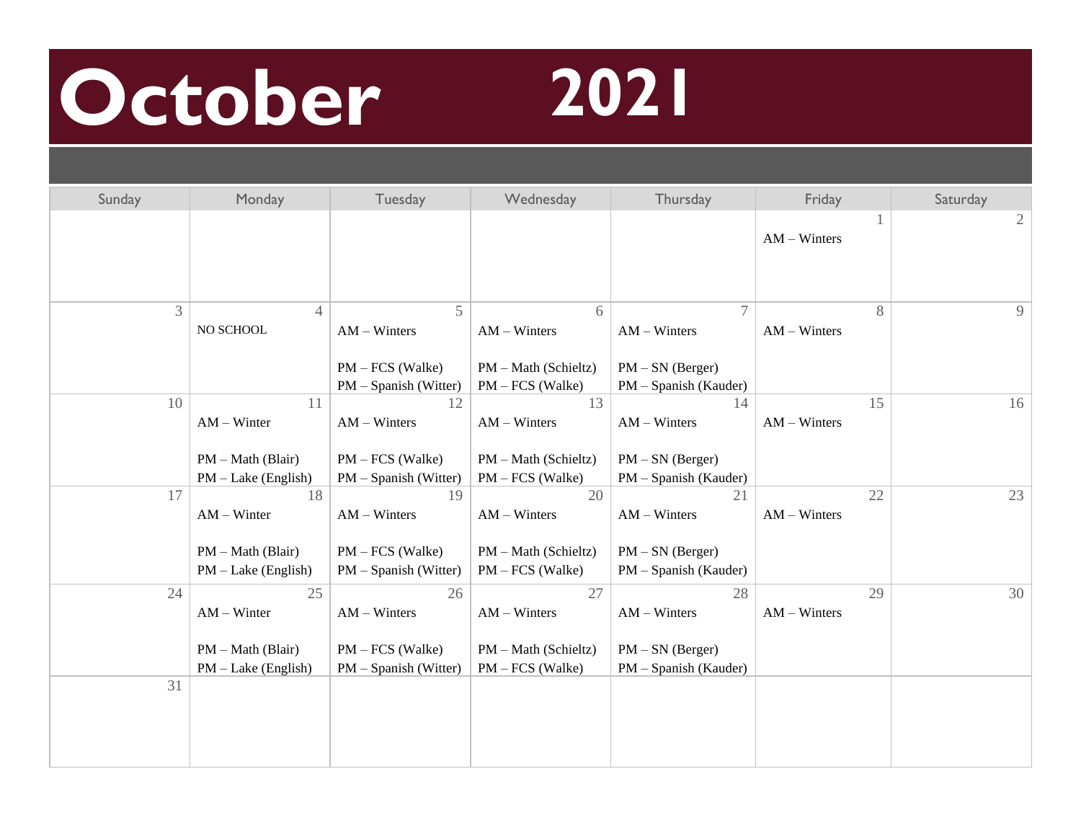#### **October 2021**



| Sunday | Monday                                                              | Tuesday                                                               | Wednesday                                                          | Thursday                                                            | Friday               | Saturday       |
|--------|---------------------------------------------------------------------|-----------------------------------------------------------------------|--------------------------------------------------------------------|---------------------------------------------------------------------|----------------------|----------------|
|        |                                                                     |                                                                       |                                                                    |                                                                     | $AM - Winters$       | $\overline{2}$ |
| 3      | $\overline{4}$<br>NO SCHOOL                                         | 5<br>$AM - Winters$<br>$PM - FCS$ (Walke)<br>$PM - Spanish (Witter)$  | 6<br>$AM - Winters$<br>PM - Math (Schieltz)<br>PM - FCS (Walke)    | 7<br>$AM - Winters$<br>$PM - SN$ (Berger)<br>PM - Spanish (Kauder)  | 8<br>$AM - Winters$  | 9              |
| 10     | 11<br>$AM - Winter$<br>PM - Math (Blair)<br>$PM$ – Lake (English)   | 12<br>$AM - Winters$<br>PM - FCS (Walke)<br>$PM - Spanish (Witter)$   | 13<br>$AM - Winters$<br>PM - Math (Schieltz)<br>PM - FCS (Walke)   | 14<br>$AM - Winters$<br>$PM - SN$ (Berger)<br>PM – Spanish (Kauder) | 15<br>$AM - Winters$ | 16             |
| 17     | 18<br>$AM - Winter$<br>$PM - Math (Blair)$<br>$PM$ – Lake (English) | 19<br>$AM - Winters$<br>$PM - FCS$ (Walke)<br>$PM - Spanish (Witter)$ | 20<br>$AM - Winters$<br>PM - Math (Schieltz)<br>$PM - FCS$ (Walke) | 21<br>$AM - Winters$<br>$PM - SN$ (Berger)<br>PM - Spanish (Kauder) | 22<br>$AM - Winters$ | 23             |
| 24     | 25<br>$AM - Winter$<br>$PM - Math (Blair)$<br>$PM$ – Lake (English) | 26<br>$AM - Winters$<br>PM - FCS (Walke)<br>PM - Spanish (Witter)     | 27<br>$AM - Winters$<br>PM - Math (Schieltz)<br>$PM - FCS$ (Walke) | 28<br>$AM - Winters$<br>$PM - SN$ (Berger)<br>PM - Spanish (Kauder) | 29<br>$AM - Winters$ | 30             |
| 31     |                                                                     |                                                                       |                                                                    |                                                                     |                      |                |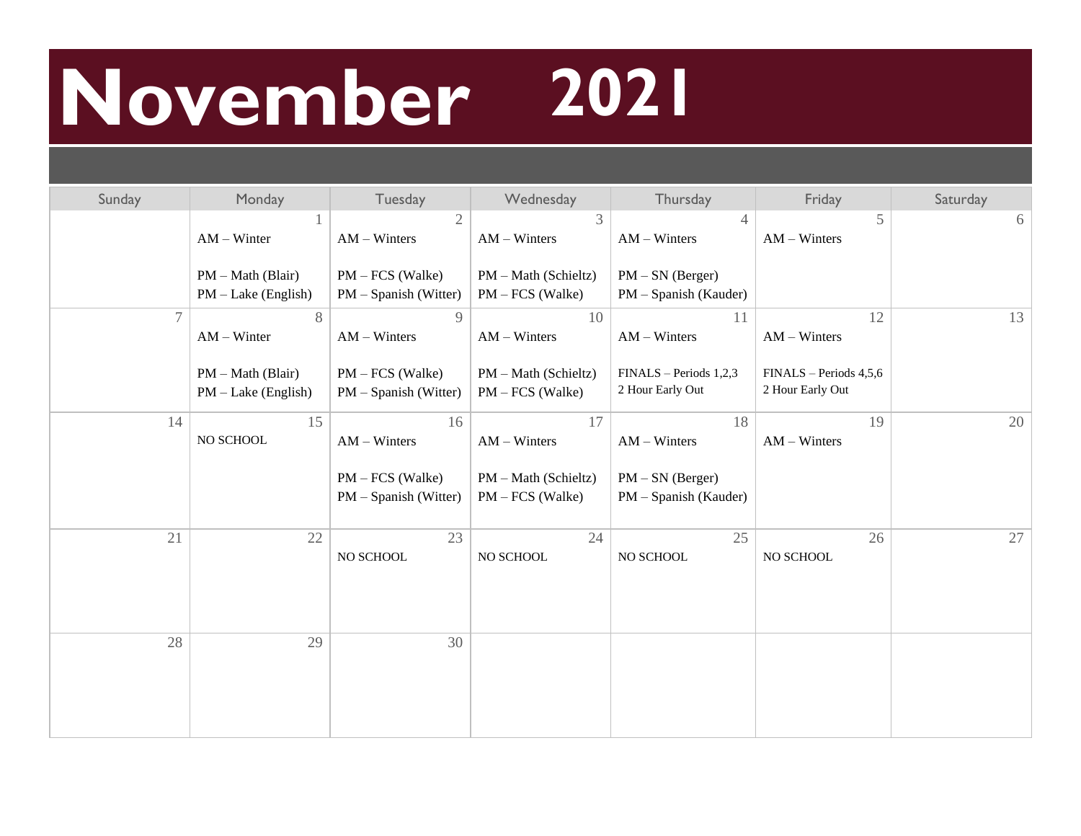#### **November 2021**

| Sunday         | Monday                                       | Tuesday                                     | Wednesday                                  | Thursday                                    | Friday                                     | Saturday |
|----------------|----------------------------------------------|---------------------------------------------|--------------------------------------------|---------------------------------------------|--------------------------------------------|----------|
|                | $AM - Winter$                                | $\overline{2}$<br>$AM - Winters$            | 3<br>$AM - Winters$                        | $\overline{4}$<br>$AM - Winters$            | 5<br>$AM - Winters$                        | 6        |
|                | $PM - Math (Blair)$<br>$PM - Lake (English)$ | $PM - FCS$ (Walke)<br>PM - Spanish (Witter) | PM - Math (Schieltz)<br>$PM - FCS$ (Walke) | $PM - SN$ (Berger)<br>PM - Spanish (Kauder) |                                            |          |
| $\overline{7}$ | 8<br>$AM - Winter$                           | 9<br>$AM - Winters$                         | 10<br>$AM - Winters$                       | 11<br>$AM - Winters$                        | 12<br>$AM - Winters$                       | 13       |
|                | $PM - Math (Blair)$<br>$PM - Lake (English)$ | $PM - FCS$ (Walke)<br>PM - Spanish (Witter) | PM - Math (Schieltz)<br>$PM - FCS$ (Walke) | FINALS - Periods 1,2,3<br>2 Hour Early Out  | FINALS - Periods 4,5,6<br>2 Hour Early Out |          |
| 14             | 15<br>NO SCHOOL                              | 16<br>$AM - Winters$                        | 17<br>$AM - Winters$                       | 18<br>$AM - Winters$                        | 19<br>$AM - Winters$                       | 20       |
|                |                                              | PM - FCS (Walke)<br>PM - Spanish (Witter)   | PM - Math (Schieltz)<br>$PM - FCS$ (Walke) | $PM - SN$ (Berger)<br>PM - Spanish (Kauder) |                                            |          |
| 21             | 22                                           | 23<br>NO SCHOOL                             | 24<br>NO SCHOOL                            | 25<br>NO SCHOOL                             | 26<br>NO SCHOOL                            | 27       |
| 28             | 29                                           | 30                                          |                                            |                                             |                                            |          |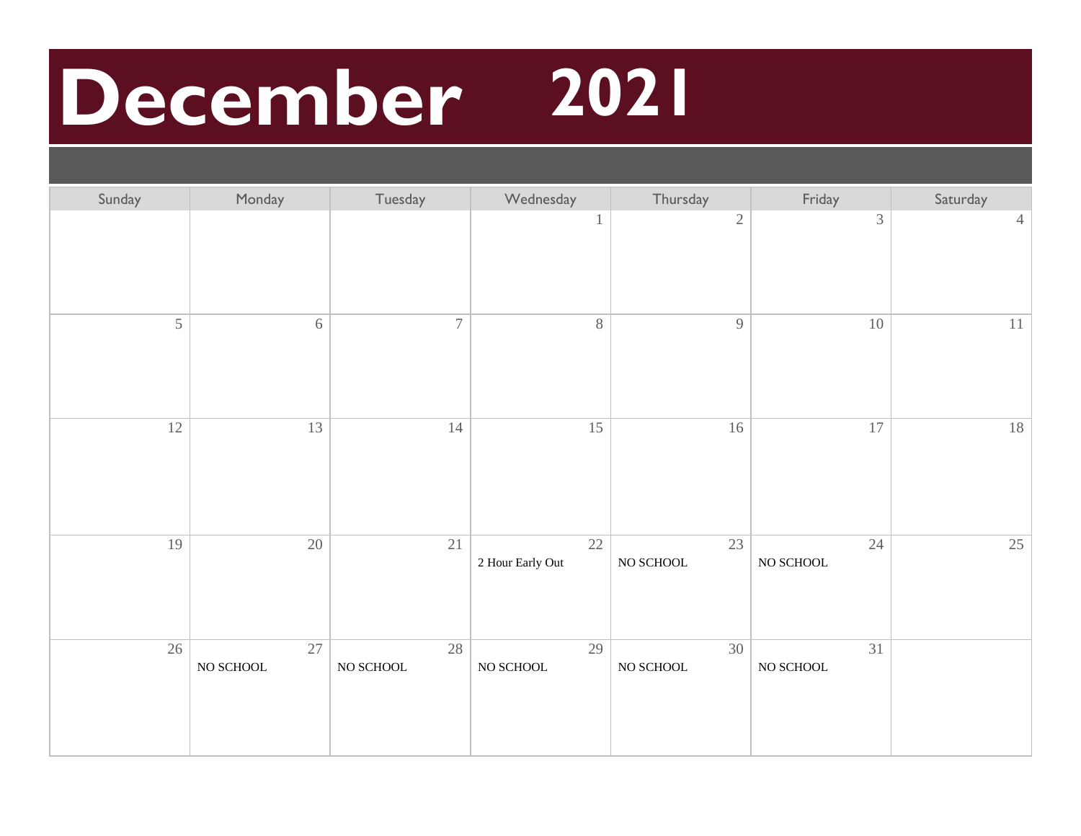#### **December 2021**

| Sunday | Monday                             | Tuesday               | Wednesday              | Thursday              | Friday                             | Saturday       |
|--------|------------------------------------|-----------------------|------------------------|-----------------------|------------------------------------|----------------|
|        |                                    |                       | $\,1$                  | $\sqrt{2}$            | $\mathfrak{Z}$                     | $\overline{4}$ |
| 5      | $6\,$                              | $\overline{7}$        | 8                      | 9                     | $10\,$                             | 11             |
| 12     | 13                                 | 14                    | 15                     | 16                    | 17                                 | $18\,$         |
| 19     | $20\,$                             | 21                    | 22<br>2 Hour Early Out | 23<br>$\rm NO$ SCHOOL | $24\,$<br>$\rm NO$ SCHOOL          | 25             |
| 26     | $\overline{27}$<br>$\rm NO$ SCHOOL | 28<br>$\rm NO$ SCHOOL | 29<br>$\rm NO$ SCHOOL  | 30<br>$\rm NO$ SCHOOL | $\overline{31}$<br>$\rm NO$ SCHOOL |                |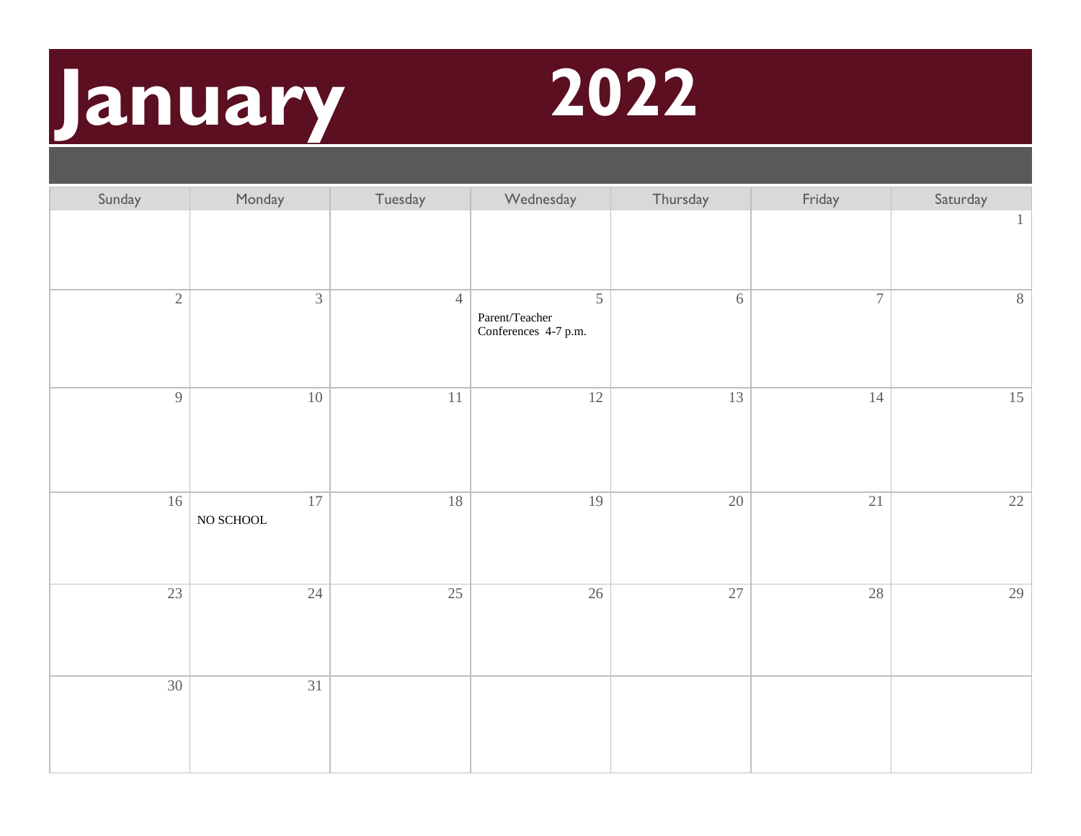## **January 2022**



| Sunday          | Monday                | Tuesday        | Wednesday                                                                                 | Thursday        | Friday         | Saturday     |
|-----------------|-----------------------|----------------|-------------------------------------------------------------------------------------------|-----------------|----------------|--------------|
|                 |                       |                |                                                                                           |                 |                | $\mathbf{1}$ |
| $\sqrt{2}$      | $\mathfrak{Z}$        | $\overline{4}$ | 5<br>$\ensuremath{\mathit{Parent}}/\ensuremath{\mathit{Teacher}}$<br>Conferences 4-7 p.m. | $6\,$           | $\overline{7}$ | 8            |
| $\overline{9}$  | $10\,$                | $11\,$         | 12                                                                                        | $\overline{13}$ | 14             | 15           |
| 16              | 17<br>$\rm NO$ SCHOOL | 18             | 19                                                                                        | 20              | 21             | 22           |
| $\overline{23}$ | 24                    | 25             | 26                                                                                        | $\overline{27}$ | 28             | 29           |
| 30              | $\overline{31}$       |                |                                                                                           |                 |                |              |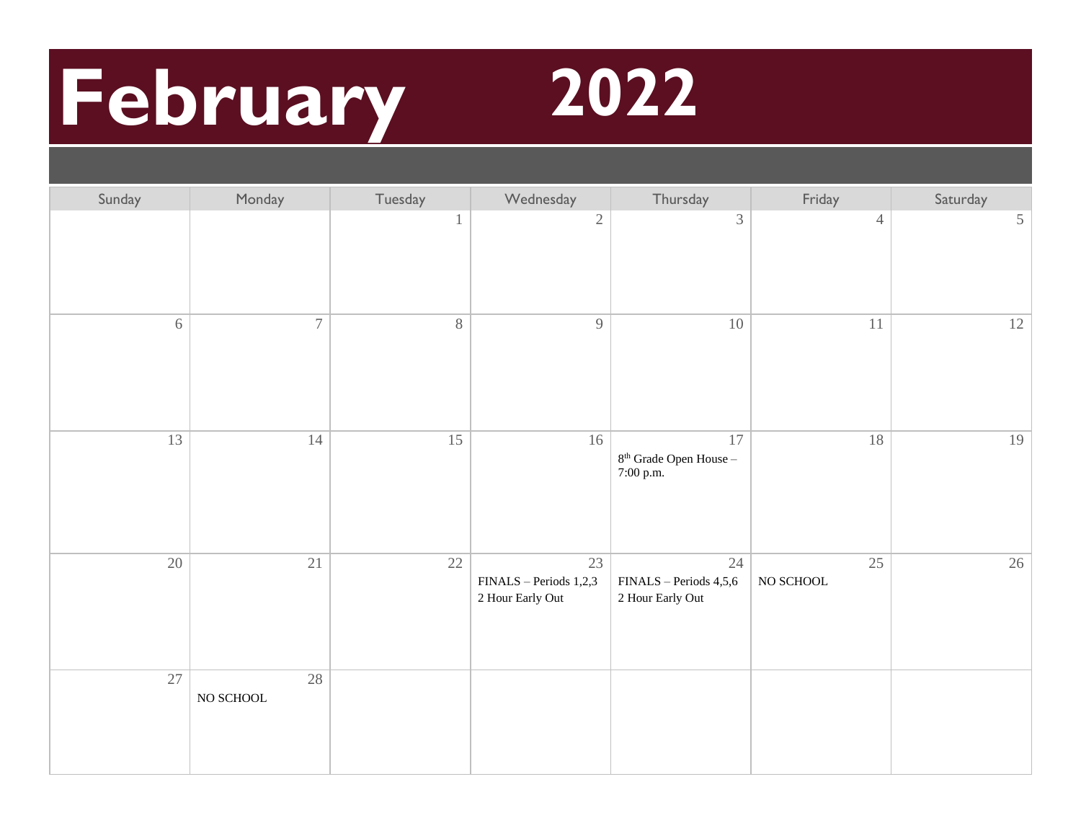## **February 2022**



| Sunday | Monday                    | Tuesday | Wednesday                                        | Thursday                                                  | Friday                | Saturday |
|--------|---------------------------|---------|--------------------------------------------------|-----------------------------------------------------------|-----------------------|----------|
|        |                           | 1       | $\overline{2}$                                   | $\mathfrak{Z}$                                            | $\overline{4}$        | $5\,$    |
| 6      | $\boldsymbol{7}$          | $8\,$   | 9                                                | $10\,$                                                    | $11\,$                | 12       |
| 13     | 14                        | 15      | 16                                               | $17\,$<br>$8^{\rm th}$ Grade Open House --<br>$7:00$ p.m. | 18                    | 19       |
| $20\,$ | 21                        | $22\,$  | 23<br>FINALS - Periods 1,2,3<br>2 Hour Early Out | 24<br>FINALS - Periods 4,5,6<br>2 Hour Early Out          | 25<br>$\rm NO$ SCHOOL | 26       |
| 27     | $28\,$<br>$\rm NO$ SCHOOL |         |                                                  |                                                           |                       |          |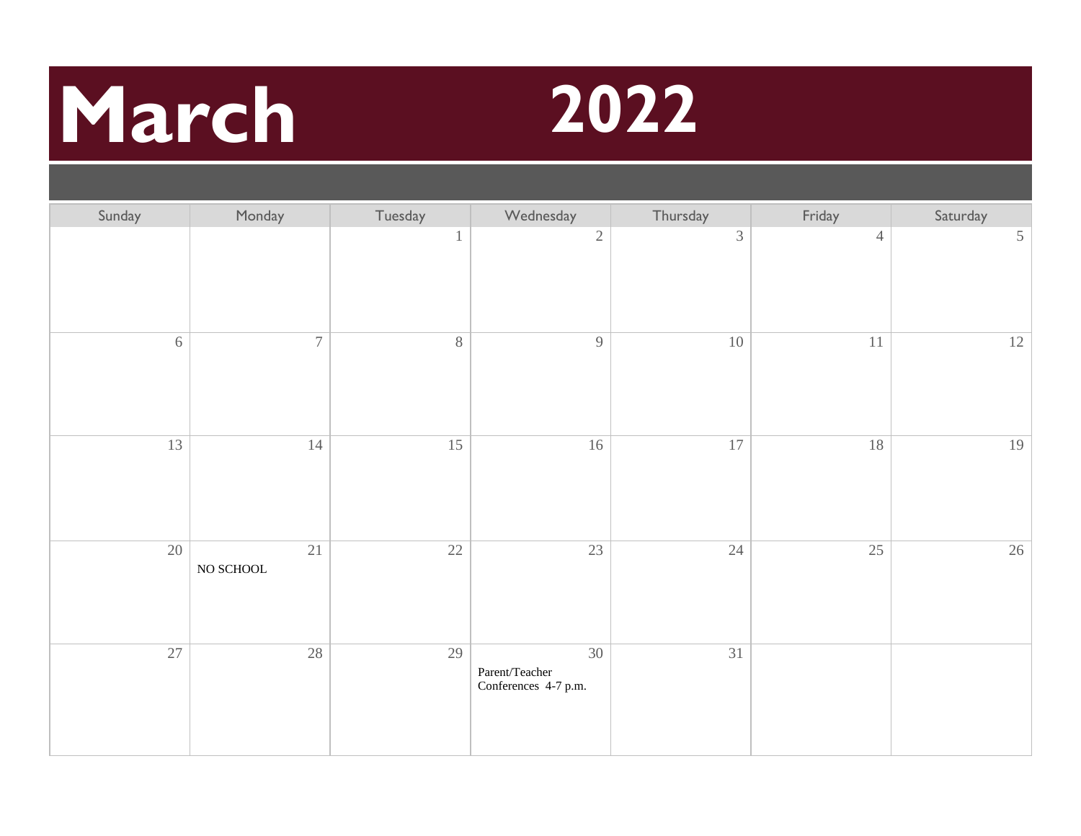## **March 2022**



| Sunday   | Monday                | Tuesday      | Wednesday                                    | Thursday       | Friday         | Saturday       |
|----------|-----------------------|--------------|----------------------------------------------|----------------|----------------|----------------|
|          |                       | $\mathbf{1}$ | $\sqrt{2}$                                   | $\mathfrak{Z}$ | $\overline{4}$ | $\mathfrak{S}$ |
| $\sigma$ | $\boldsymbol{7}$      | $8\,$        | $\overline{9}$                               | $10\,$         | $11\,$         | 12             |
| 13       | 14                    | 15           | $16\,$                                       | 17             | 18             | 19             |
| 20       | 21<br>$\rm NO$ SCHOOL | 22           | 23                                           | 24             | 25             | 26             |
| 27       | 28                    | 29           | 30<br>Parent/Teacher<br>Conferences 4-7 p.m. | 31             |                |                |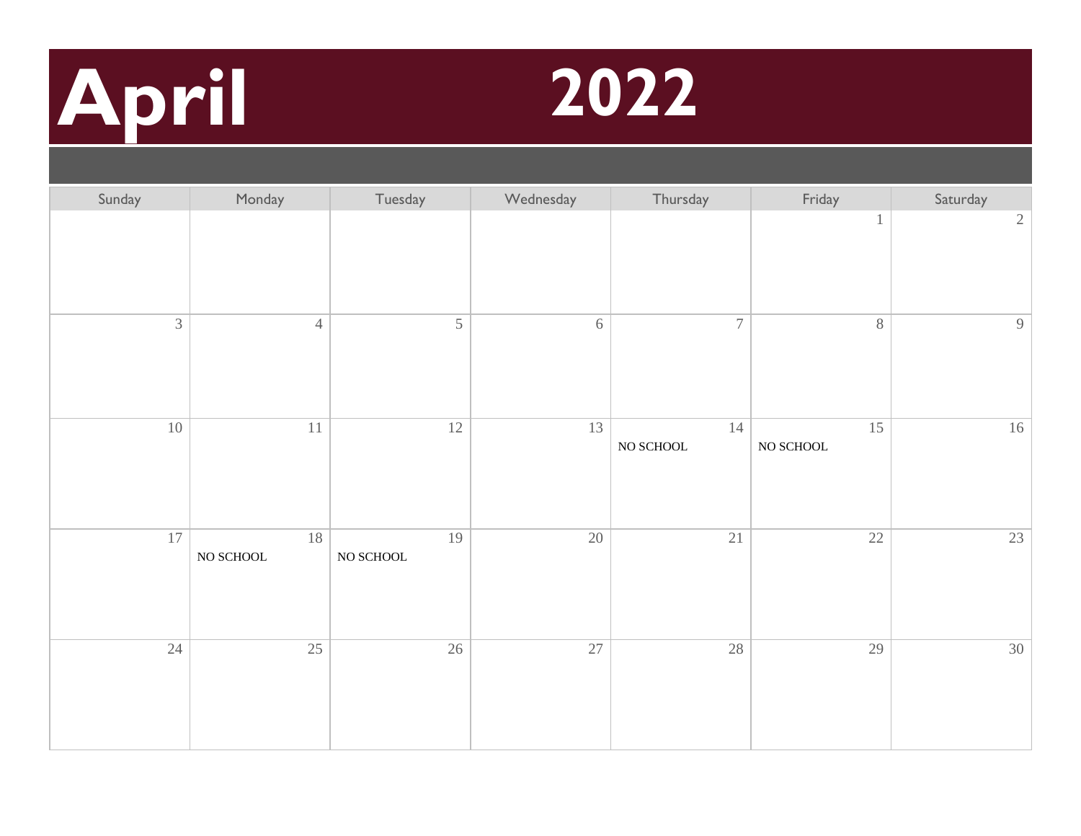# **April 2022**



| Sunday         | Monday                    | Tuesday               | Wednesday | Thursday              | Friday                | Saturday       |
|----------------|---------------------------|-----------------------|-----------|-----------------------|-----------------------|----------------|
|                |                           |                       |           |                       | $\mathbf{1}$          | $\sqrt{2}$     |
| $\overline{3}$ | $\overline{4}$            | $\mathfrak s$         | $6\,$     | $\boldsymbol{7}$      | $8\,$                 | $\overline{9}$ |
| 10             | $11\,$                    | $12\,$                | 13        | 14<br>$\rm NO$ SCHOOL | 15<br>$\rm NO$ SCHOOL | 16             |
| $17\,$         | $18\,$<br>$\rm NO$ SCHOOL | 19<br>$\rm NO$ SCHOOL | 20        | $21\,$                | $22\,$                | $23\,$         |
| 24             | 25                        | 26                    | 27        | $28\,$                | 29                    | 30             |